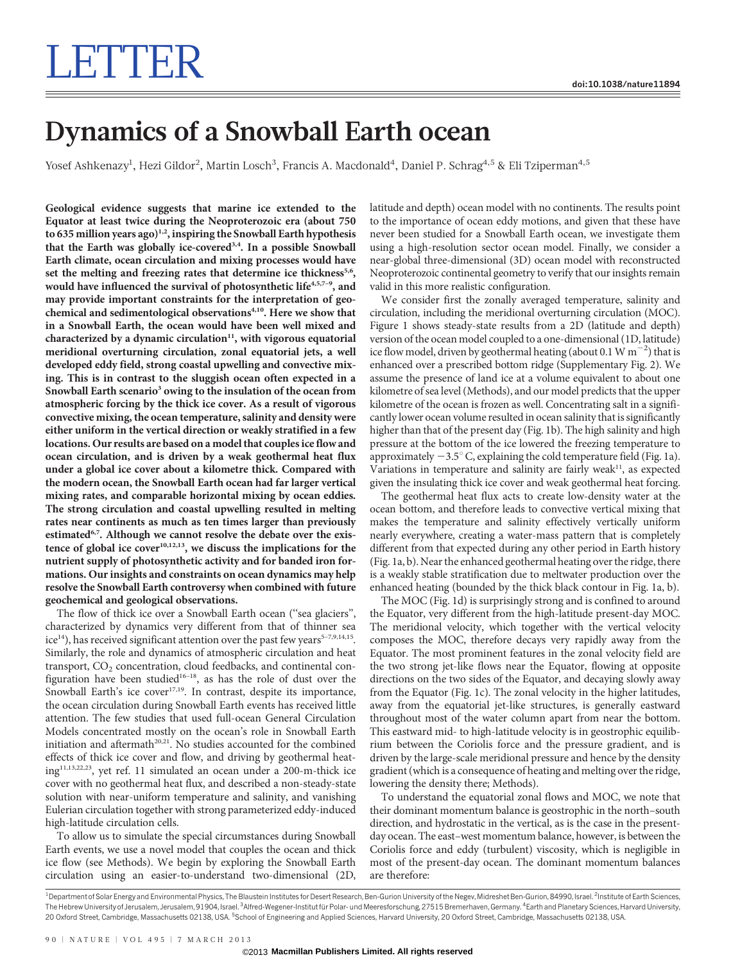# LETTER

## Dynamics of a Snowball Earth ocean

Yosef Ashkenazy<sup>1</sup>, Hezi Gildor<sup>2</sup>, Martin Losch<sup>3</sup>, Francis A. Macdonald<sup>4</sup>, Daniel P. Schrag<sup>4,5</sup> & Eli Tziperman<sup>4,5</sup>

Geological evidence suggests that marine ice extended to the Equator at least twice during the Neoproterozoic era (about 750 to 635 million years ago)<sup>1,2</sup>, inspiring the Snowball Earth hypothesis that the Earth was globally ice-covered<sup>3,4</sup>. In a possible Snowball Earth climate, ocean circulation and mixing processes would have set the melting and freezing rates that determine ice thickness<sup>5,6</sup>, would have influenced the survival of photosynthetic life<sup>4,5,7-9</sup>, and may provide important constraints for the interpretation of geochemical and sedimentological observations<sup>4,10</sup>. Here we show that in a Snowball Earth, the ocean would have been well mixed and characterized by a dynamic circulation $11$ , with vigorous equatorial meridional overturning circulation, zonal equatorial jets, a well developed eddy field, strong coastal upwelling and convective mixing. This is in contrast to the sluggish ocean often expected in a Snowball Earth scenario<sup>3</sup> owing to the insulation of the ocean from atmospheric forcing by the thick ice cover. As a result of vigorous convective mixing, the ocean temperature, salinity and density were either uniform in the vertical direction or weakly stratified in a few locations. Our results are based on a model that couples ice flow and ocean circulation, and is driven by a weak geothermal heat flux under a global ice cover about a kilometre thick. Compared with the modern ocean, the Snowball Earth ocean had far larger vertical mixing rates, and comparable horizontal mixing by ocean eddies. The strong circulation and coastal upwelling resulted in melting rates near continents as much as ten times larger than previously estimated<sup>6,7</sup>. Although we cannot resolve the debate over the existence of global ice  $cover^{10,12,13}$ , we discuss the implications for the nutrient supply of photosynthetic activity and for banded iron formations. Our insights and constraints on ocean dynamics may help resolve the Snowball Earth controversy when combined with future geochemical and geological observations.

The flow of thick ice over a Snowball Earth ocean ("sea glaciers", characterized by dynamics very different from that of thinner sea ice<sup>14</sup>), has received significant attention over the past few years<sup>5-7,9,14,15</sup>. Similarly, the role and dynamics of atmospheric circulation and heat transport, CO<sub>2</sub> concentration, cloud feedbacks, and continental configuration have been studied16–18, as has the role of dust over the Snowball Earth's ice cover $17,19$ . In contrast, despite its importance, the ocean circulation during Snowball Earth events has received little attention. The few studies that used full-ocean General Circulation Models concentrated mostly on the ocean's role in Snowball Earth initiation and aftermath<sup>20,21</sup>. No studies accounted for the combined effects of thick ice cover and flow, and driving by geothermal heating11,13,22,23, yet ref. 11 simulated an ocean under a 200-m-thick ice cover with no geothermal heat flux, and described a non-steady-state solution with near-uniform temperature and salinity, and vanishing Eulerian circulation together with strong parameterized eddy-induced high-latitude circulation cells.

To allow us to simulate the special circumstances during Snowball Earth events, we use a novel model that couples the ocean and thick ice flow (see Methods). We begin by exploring the Snowball Earth circulation using an easier-to-understand two-dimensional (2D, latitude and depth) ocean model with no continents. The results point to the importance of ocean eddy motions, and given that these have never been studied for a Snowball Earth ocean, we investigate them using a high-resolution sector ocean model. Finally, we consider a near-global three-dimensional (3D) ocean model with reconstructed Neoproterozoic continental geometry to verify that our insights remain valid in this more realistic configuration.

We consider first the zonally averaged temperature, salinity and circulation, including the meridional overturning circulation (MOC). Figure 1 shows steady-state results from a 2D (latitude and depth) version of the ocean model coupled to a one-dimensional (1D, latitude) ice flow model, driven by geothermal heating (about 0.1 W  $\text{m}^{-2}$ ) that is enhanced over a prescribed bottom ridge (Supplementary Fig. 2). We assume the presence of land ice at a volume equivalent to about one kilometre of sea level (Methods), and our model predicts that the upper kilometre of the ocean is frozen as well. Concentrating salt in a significantly lower ocean volume resulted in ocean salinity that is significantly higher than that of the present day (Fig. 1b). The high salinity and high pressure at the bottom of the ice lowered the freezing temperature to approximately  $-3.5^{\circ}$  C, explaining the cold temperature field (Fig. 1a). Variations in temperature and salinity are fairly weak<sup>11</sup>, as expected given the insulating thick ice cover and weak geothermal heat forcing.

The geothermal heat flux acts to create low-density water at the ocean bottom, and therefore leads to convective vertical mixing that makes the temperature and salinity effectively vertically uniform nearly everywhere, creating a water-mass pattern that is completely different from that expected during any other period in Earth history (Fig. 1a, b). Near the enhanced geothermal heating over the ridge, there is a weakly stable stratification due to meltwater production over the enhanced heating (bounded by the thick black contour in Fig. 1a, b).

The MOC (Fig. 1d) is surprisingly strong and is confined to around the Equator, very different from the high-latitude present-day MOC. The meridional velocity, which together with the vertical velocity composes the MOC, therefore decays very rapidly away from the Equator. The most prominent features in the zonal velocity field are the two strong jet-like flows near the Equator, flowing at opposite directions on the two sides of the Equator, and decaying slowly away from the Equator (Fig. 1c). The zonal velocity in the higher latitudes, away from the equatorial jet-like structures, is generally eastward throughout most of the water column apart from near the bottom. This eastward mid- to high-latitude velocity is in geostrophic equilibrium between the Coriolis force and the pressure gradient, and is driven by the large-scale meridional pressure and hence by the density gradient (which is a consequence of heating and melting over the ridge, lowering the density there; Methods).

To understand the equatorial zonal flows and MOC, we note that their dominant momentum balance is geostrophic in the north–south direction, and hydrostatic in the vertical, as is the case in the presentday ocean. The east–west momentum balance, however, is between the Coriolis force and eddy (turbulent) viscosity, which is negligible in most of the present-day ocean. The dominant momentum balances are therefore:

<sup>1</sup> Department of Solar Energy and Environmental Physics, The Blaustein Institutes for Desert Research, Ben-Gurion University of the Negev, Midreshet Ben-Gurion, 84990, Israel. <sup>2</sup>Institute of Earth Sciences The Hebrew University of Jerusalem, Jerusalem, 91904, Israel. <sup>3</sup>Alfred-Wegener-Institut für Polar- und Meeresforschung, 27515 Bremerhaven, Germany. <sup>4</sup>Earth and Planetary Sciences, Harvard University 20 Oxford Street, Cambridge, Massachusetts 02138, USA. <sup>5</sup>School of Engineering and Applied Sciences, Harvard University, 20 Oxford Street, Cambridge, Massachusetts 02138, USA.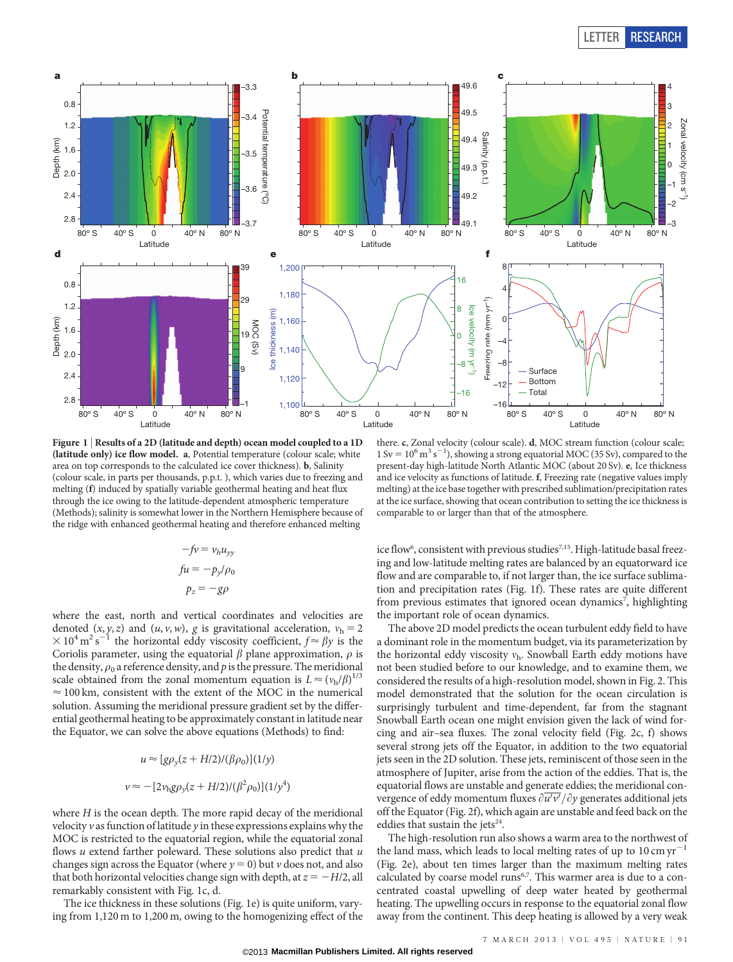

Figure 1 | Results of a 2D (latitude and depth) ocean model coupled to a 1D (latitude only) ice flow model. a, Potential temperature (colour scale; white area on top corresponds to the calculated ice cover thickness). b, Salinity (colour scale, in parts per thousands, p.p.t. ), which varies due to freezing and melting (f) induced by spatially variable geothermal heating and heat flux through the ice owing to the latitude-dependent atmospheric temperature (Methods); salinity is somewhat lower in the Northern Hemisphere because of the ridge with enhanced geothermal heating and therefore enhanced melting

$$
-fv = v_h u_{yy}
$$
  

$$
fu = -p_y/\rho_0
$$
  

$$
p_z = -g\rho
$$

where the east, north and vertical coordinates and velocities are denoted  $(x, y, z)$  and  $(u, v, w)$ , g is gravitational acceleration,  $v<sub>h</sub> = 2$  $\times 10^4 \,\mathrm{m}^2 \,\mathrm{s}^{-1}$ <sup>1</sup> the horizontal eddy viscosity coefficient,  $f \approx \beta y$  is the Coriolis parameter, using the equatorial  $\beta$  plane approximation,  $\rho$  is the density,  $\rho_0$  a reference density, and p is the pressure. The meridional scale obtained from the zonal momentum equation is  $L \approx (v_h/\beta)^{1/3}$  $\approx$  100 km, consistent with the extent of the MOC in the numerical solution. Assuming the meridional pressure gradient set by the differential geothermal heating to be approximately constant in latitude near the Equator, we can solve the above equations (Methods) to find:

$$
u \approx [g\rho_y(z + H/2)/(\beta \rho_0)](1/y)
$$
  

$$
v \approx -[2\nu_{\text{h}}g\rho_y(z + H/2)/(\beta^2 \rho_0)](1/y^4)
$$

where  $H$  is the ocean depth. The more rapid decay of the meridional velocity  $v$  as function of latitude  $y$  in these expressions explains why the MOC is restricted to the equatorial region, while the equatorial zonal flows  $u$  extend farther poleward. These solutions also predict that  $u$ changes sign across the Equator (where  $y = 0$ ) but v does not, and also that both horizontal velocities change sign with depth, at  $z = -H/2$ , all remarkably consistent with Fig. 1c, d.

The ice thickness in these solutions (Fig. 1e) is quite uniform, varying from 1,120 m to 1,200 m, owing to the homogenizing effect of the

there. c, Zonal velocity (colour scale). d, MOC stream function (colour scale;  $1 \text{ Sv} = 10^6 \text{ m}^3 \text{ s}^{-1}$ ), showing a strong equatorial MOC (35 Sv), compared to the present-day high-latitude North Atlantic MOC (about 20 Sv). e, Ice thickness and ice velocity as functions of latitude. f, Freezing rate (negative values imply melting) at the ice base together with prescribed sublimation/precipitation rates at the ice surface, showing that ocean contribution to setting the ice thickness is comparable to or larger than that of the atmosphere.

ice flow<sup>6</sup>, consistent with previous studies<sup>7,15</sup>. High-latitude basal freezing and low-latitude melting rates are balanced by an equatorward ice flow and are comparable to, if not larger than, the ice surface sublimation and precipitation rates (Fig. 1f). These rates are quite different from previous estimates that ignored ocean dynamics<sup>7</sup>, highlighting the important role of ocean dynamics.

The above 2D model predicts the ocean turbulent eddy field to have a dominant role in the momentum budget, via its parameterization by the horizontal eddy viscosity  $v<sub>h</sub>$ . Snowball Earth eddy motions have not been studied before to our knowledge, and to examine them, we considered the results of a high-resolution model, shown in Fig. 2. This model demonstrated that the solution for the ocean circulation is surprisingly turbulent and time-dependent, far from the stagnant Snowball Earth ocean one might envision given the lack of wind forcing and air–sea fluxes. The zonal velocity field (Fig. 2c, f) shows several strong jets off the Equator, in addition to the two equatorial jets seen in the 2D solution. These jets, reminiscent of those seen in the atmosphere of Jupiter, arise from the action of the eddies. That is, the equatorial flows are unstable and generate eddies; the meridional convergence of eddy momentum fluxes  $\partial u'v'/\partial y$  generates additional jets off the Equator (Fig. 2f), which again are unstable and feed back on the eddies that sustain the jets<sup>24</sup>.

The high-resolution run also shows a warm area to the northwest of the land mass, which leads to local melting rates of up to  $10 \text{ cm yr}^{-1}$ (Fig. 2e), about ten times larger than the maximum melting rates calculated by coarse model runs<sup>6,7</sup>. This warmer area is due to a concentrated coastal upwelling of deep water heated by geothermal heating. The upwelling occurs in response to the equatorial zonal flow away from the continent. This deep heating is allowed by a very weak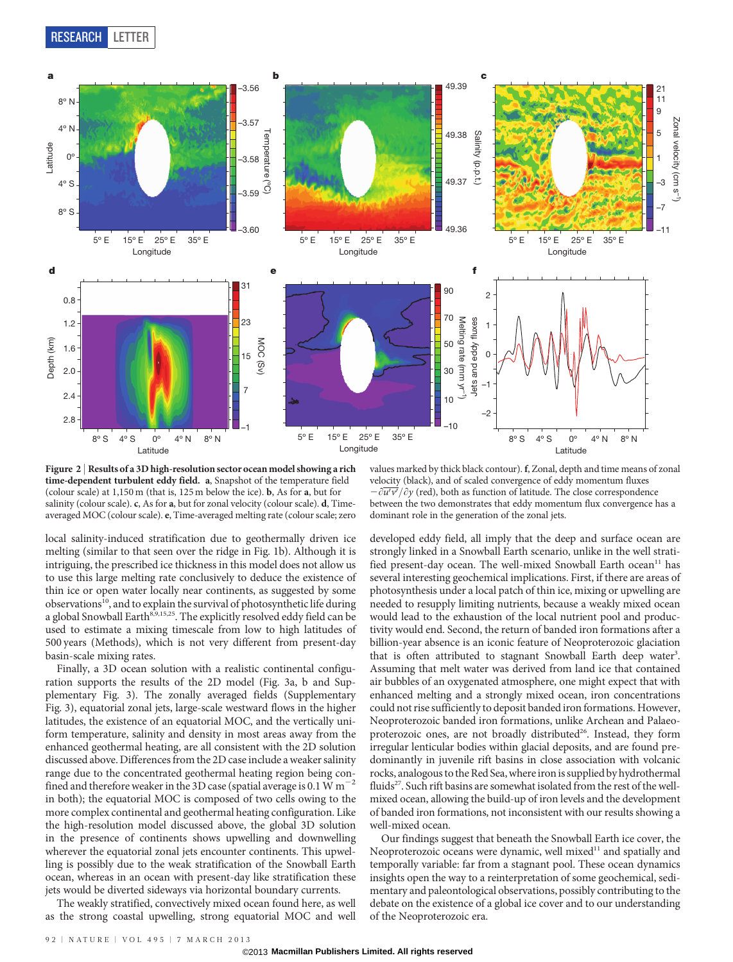RESEARCH LETTER



Figure 2 <sup>|</sup> Results of a 3D high-resolution sector ocean model showing a rich time-dependent turbulent eddy field. a, Snapshot of the temperature field (colour scale) at 1,150 m (that is, 125 m below the ice). b, As for a, but for salinity (colour scale). c, As for a, but for zonal velocity (colour scale). d, Timeaveraged MOC (colour scale). e, Time-averaged melting rate (colour scale; zero

local salinity-induced stratification due to geothermally driven ice melting (similar to that seen over the ridge in Fig. 1b). Although it is intriguing, the prescribed ice thickness in this model does not allow us to use this large melting rate conclusively to deduce the existence of thin ice or open water locally near continents, as suggested by some observations<sup>10</sup>, and to explain the survival of photosynthetic life during a global Snowball Earth<sup>8,9,15,25</sup>. The explicitly resolved eddy field can be used to estimate a mixing timescale from low to high latitudes of 500 years (Methods), which is not very different from present-day basin-scale mixing rates.

Finally, a 3D ocean solution with a realistic continental configuration supports the results of the 2D model (Fig. 3a, b and Supplementary Fig. 3). The zonally averaged fields (Supplementary Fig. 3), equatorial zonal jets, large-scale westward flows in the higher latitudes, the existence of an equatorial MOC, and the vertically uniform temperature, salinity and density in most areas away from the enhanced geothermal heating, are all consistent with the 2D solution discussed above. Differences from the 2D case include a weaker salinity range due to the concentrated geothermal heating region being confined and therefore weaker in the 3D case (spatial average is 0.1 W  $m^{-2}$ in both); the equatorial MOC is composed of two cells owing to the more complex continental and geothermal heating configuration. Like the high-resolution model discussed above, the global 3D solution in the presence of continents shows upwelling and downwelling wherever the equatorial zonal jets encounter continents. This upwelling is possibly due to the weak stratification of the Snowball Earth ocean, whereas in an ocean with present-day like stratification these jets would be diverted sideways via horizontal boundary currents.

The weakly stratified, convectively mixed ocean found here, as well as the strong coastal upwelling, strong equatorial MOC and well

values marked by thick black contour). f, Zonal, depth and time means of zonal velocity (black), and of scaled convergence of eddy momentum fluxes  $-\frac{\partial u'v'}{\partial y}$  (red), both as function of latitude. The close correspondence between the two demonstrates that eddy momentum flux convergence has a dominant role in the generation of the zonal jets.

developed eddy field, all imply that the deep and surface ocean are strongly linked in a Snowball Earth scenario, unlike in the well stratified present-day ocean. The well-mixed Snowball Earth ocean<sup>11</sup> has several interesting geochemical implications. First, if there are areas of photosynthesis under a local patch of thin ice, mixing or upwelling are needed to resupply limiting nutrients, because a weakly mixed ocean would lead to the exhaustion of the local nutrient pool and productivity would end. Second, the return of banded iron formations after a billion-year absence is an iconic feature of Neoproterozoic glaciation that is often attributed to stagnant Snowball Earth deep water<sup>3</sup>. Assuming that melt water was derived from land ice that contained air bubbles of an oxygenated atmosphere, one might expect that with enhanced melting and a strongly mixed ocean, iron concentrations could not rise sufficiently to deposit banded iron formations. However, Neoproterozoic banded iron formations, unlike Archean and Palaeoproterozoic ones, are not broadly distributed<sup>26</sup>. Instead, they form irregular lenticular bodies within glacial deposits, and are found predominantly in juvenile rift basins in close association with volcanic rocks, analogous to the Red Sea, where iron is supplied by hydrothermal fluids<sup>27</sup>. Such rift basins are somewhat isolated from the rest of the wellmixed ocean, allowing the build-up of iron levels and the development of banded iron formations, not inconsistent with our results showing a well-mixed ocean.

Our findings suggest that beneath the Snowball Earth ice cover, the Neoproterozoic oceans were dynamic, well mixed<sup>11</sup> and spatially and temporally variable: far from a stagnant pool. These ocean dynamics insights open the way to a reinterpretation of some geochemical, sedimentary and paleontological observations, possibly contributing to the debate on the existence of a global ice cover and to our understanding of the Neoproterozoic era.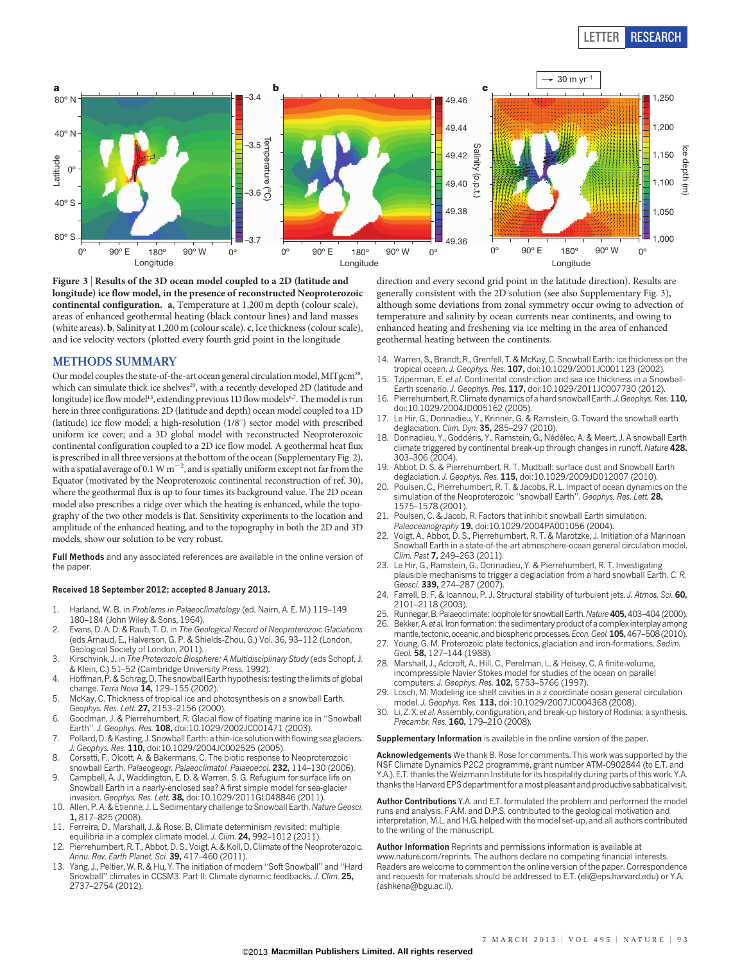### LETTER RESEARCH



Figure 3 <sup>|</sup> Results of the 3D ocean model coupled to a 2D (latitude and longitude) ice flow model, in the presence of reconstructed Neoproterozoic continental configuration. a, Temperature at 1,200 m depth (colour scale), areas of enhanced geothermal heating (black contour lines) and land masses (white areas). b, Salinity at 1,200 m (colour scale). c, Ice thickness (colour scale), and ice velocity vectors (plotted every fourth grid point in the longitude

#### METHODS SUMMARY

Our model couples the state-of-the-art ocean general circulation model, MITgcm<sup>28</sup>, which can simulate thick ice shelves<sup>29</sup>, with a recently developed 2D (latitude and longitude) ice flow model<sup>15</sup>, extending previous 1D flow models<sup>6,7</sup>. The model is run here in three configurations: 2D (latitude and depth) ocean model coupled to a 1D (latitude) ice flow model; a high-resolution  $(1/8^{\circ})$  sector model with prescribed uniform ice cover; and a 3D global model with reconstructed Neoproterozoic continental configuration coupled to a 2D ice flow model. A geothermal heat flux is prescribed in all three versions at the bottom of the ocean (Supplementary Fig. 2), with a spatial average of 0.1 W m<sup>-2</sup>, and is spatially uniform except not far from the Equator (motivated by the Neoproterozoic continental reconstruction of ref. 30), where the geothermal flux is up to four times its background value. The 2D ocean model also prescribes a ridge over which the heating is enhanced, while the topography of the two other models is flat. Sensitivity experiments to the location and amplitude of the enhanced heating, and to the topography in both the 2D and 3D models, show our solution to be very robust.

Full Methods and any associated references are available in the [online version of](www.nature.com/doifinder/10.1038/nature11894) [the paper.](www.nature.com/doifinder/10.1038/nature11894)

#### Received 18 September 2012; accepted 8 January 2013.

- 1. Harland, W. B. in Problems in Palaeoclimatology (ed. Nairn, A. E. M.) 119–149 180–184 (John Wiley & Sons, 1964).
- 2. Evans, D. A. D. & Raub, T. D. in The Geological Record of Neoproterozoic Glaciations (eds Arnaud, E., Halverson, G. P. & Shields-Zhou, G.) Vol. 36, 93–112 (London, Geological Society of London, 2011).
- 3. Kirschvink, J. in The Proterozoic Biosphere: A Multidisciplinary Study (eds Schopf, J. & Klein, C.) 51–52 (Cambridge University Press, 1992).
- 4. Hoffman, P. & Schrag, D. The snowball Earth hypothesis: testing the limits of global change. Terra Nova 14, 129-155 (2002).
- 5. McKay, C. Thickness of tropical ice and photosynthesis on a snowball Earth. Geophys. Res. Lett. 27, 2153-2156 (2000).
- 6. Goodman, J. & Pierrehumbert, R. Glacial flow of floating marine ice in ''Snowball Earth''. J. Geophys. Res. 108, doi:10.1029/2002JC001471 (2003).
- 7. Pollard, D. & Kasting, J. Snowball Earth: a thin-ice solution with flowing sea glaciers. J. Geophys. Res. 110, doi:10.1029/2004JC002525 (2005).
- 8. Corsetti, F., Olcott, A. & Bakermans, C. The biotic response to Neoproterozoic snowball Earth. Palaeogeogr. Palaeoclimatol. Palaeoecol. 232, 114-130 (2006).
- 9. Campbell, A. J., Waddington, E. D. & Warren, S. G. Refugium for surface life on Snowball Earth in a nearly-enclosed sea? A first simple model for sea-glacier invasion. Geophys. Res. Lett. 38, doi:10.1029/2011GL048846 (2011).
- 10. Allen, P. A. & Etienne, J. L. Sedimentary challenge to Snowball Earth. Nature Geosci. 1, 817–825 (2008).
- 11. Ferreira, D., Marshall, J. & Rose, B. Climate determinism revisited: multiple equilibria in a complex climate model. J. Clim. 24, 992-1012 (2011).
- 12. Pierrehumbert, R. T., Abbot, D. S., Voigt, A. & Koll, D. Climate of the Neoproterozoic. Annu. Rev. Earth Planet. Sci. 39, 417–460 (2011).
- 13. Yang, J., Peltier, W. R. & Hu, Y. The initiation of modern ''Soft Snowball'' and ''Hard Snowball'' climates in CCSM3. Part II: Climate dynamic feedbacks. J. Clim. 25, 2737–2754 (2012).

direction and every second grid point in the latitude direction). Results are generally consistent with the 2D solution (see also Supplementary Fig. 3), although some deviations from zonal symmetry occur owing to advection of temperature and salinity by ocean currents near continents, and owing to enhanced heating and freshening via ice melting in the area of enhanced geothermal heating between the continents.

- 14. Warren, S., Brandt, R., Grenfell, T. & McKay, C. Snowball Earth: ice thickness on the tropical ocean. J. Geophys. Res. 107, doi:10.1029/2001JC001123 (2002).
- 15. Tziperman, E. et al. Continental constriction and sea ice thickness in a Snowball-Earth scenario. J. Geophys. Res. 117, doi:10.1029/2011JC007730 (2012).
- 16. Pierrehumbert, R. Climate dynamics of a hard snowball Earth. J. Geophys. Res.110, doi:10.1029/2004JD005162 (2005).
- 17. Le Hir, G., Donnadieu, Y., Krinner, G. & Ramstein, G. Toward the snowball earth deglaciation. Clim. Dyn. 35, 285-297 (2010).
- 18. Donnadieu, Y., Godderis, Y., Ramstein, G., Nedelec, A. & Meert, J. A snowball Earth climate triggered by continental break-up through changes in runoff. Nature 428, 303–306 (2004).
- 19. Abbot, D. S. & Pierrehumbert, R. T. Mudball: surface dust and Snowball Earth deglaciation. J. Geophys. Res. 115, doi:10.1029/2009JD012007 (2010).
- Poulsen, C., Pierrehumbert, R. T. & Jacobs, R. L. Impact of ocean dynamics on the simulation of the Neoproterozoic "snowball Earth". Geophys. Res. Lett. 28, 1575–1578 (2001).
- 21. Poulsen, C. & Jacob, R. Factors that inhibit snowball Earth simulation. Paleoceanography 19, doi:10.1029/2004PA001056 (2004).
- 22. Voigt, A., Abbot, D. S., Pierrehumbert, R. T. & Marotzke, J. Initiation of a Marinoan Snowball Earth in a state-of-the-art atmosphere-ocean general circulation model. Clim. Past 7, 249–263 (2011).
- 23. Le Hir, G., Ramstein, G., Donnadieu, Y. & Pierrehumbert, R. T. Investigating plausible mechanisms to trigger a deglaciation from a hard snowball Earth. C. R. Geosci. 339, 274-287 (2007).
- 24. Farrell, B. F. & Ioannou, P. J. Structural stability of turbulent jets. J. Atmos. Sci. 60, 2101–2118 (2003).
- 25. Runnegar, B. Palaeoclimate: loophole for snowball Earth. Nature 405, 403-404 (2000).
- 26. Bekker, A. et al. Iron formation: the sedimentary product of a complex interplay among mantle, tectonic, oceanic, and biospheric processes. Econ. Geol. 105, 467–508 (2010)
- 27. Young, G. M. Proterozoic plate tectonics, glaciation and iron-formations. Sedim. Geol. 58, 127-144 (1988).
- 28. Marshall, J., Adcroft, A., Hill, C., Perelman, L. & Heisey, C. A finite-volume incompressible Navier Stokes model for studies of the ocean on parallel computers. J. Geophys. Res. 102, 5753–5766 (1997).
- 29. Losch, M. Modeling ice shelf cavities in a z coordinate ocean general circulation model. J. Geophys. Res. 113, doi:10.1029/2007JC004368 (2008).
- 30. Li, Z. X. et al. Assembly, configuration, and break-up history of Rodinia: a synthesis. Precambr. Res. 160, 179-210 (2008).

Supplementary Information is available in the [online version of the paper](www.nature.com/doifinder/10.1038/nature11894).

Acknowledgements We thank B. Rose for comments. This work was supported by the NSF Climate Dynamics P2C2 programme, grant number ATM-0902844 (to E.T. and Y.A.). E.T. thanks the Weizmann Institute for its hospitality during parts of this work. Y.A. thanks the Harvard EPS department for amost pleasant and productive sabbatical visit.

Author Contributions Y.A. and E.T. formulated the problem and performed the model runs and analysis, F.A.M. and D.P.S. contributed to the geological motivation and interpretation, M.L. and H.G. helped with the model set-up, and all authors contributed to the writing of the manuscript.

Author Information Reprints and permissions information is available at [www.nature.com/reprints.](www.nature.com/reprints) The authors declare no competing financial interests. Readers are welcome to comment on the [online version of the paper](www.nature.com/doifinder/10.1038/nature11894). Correspondence and requests for materials should be addressed to E.T. [\(eli@eps.harvard.edu\)](mailto:eli@eps.harvard.edu) or Y.A. [\(ashkena@bgu.ac.il\).](mailto:ashkena@bgu.ac.il)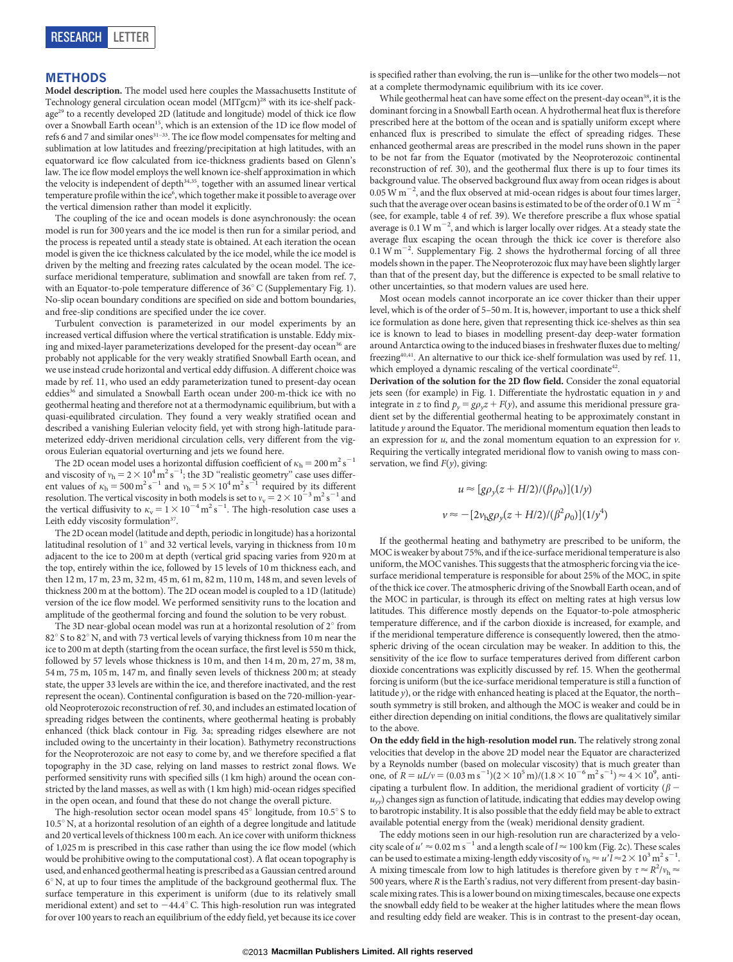#### METHODS

Model description. The model used here couples the Massachusetts Institute of Technology general circulation ocean model (MITgcm)<sup>28</sup> with its ice-shelf package29 to a recently developed 2D (latitude and longitude) model of thick ice flow over a Snowball Earth ocean<sup>15</sup>, which is an extension of the 1D ice flow model of refs 6 and 7 and similar ones<sup>31–33</sup>. The ice flow model compensates for melting and sublimation at low latitudes and freezing/precipitation at high latitudes, with an equatorward ice flow calculated from ice-thickness gradients based on Glenn's law. The ice flow model employs the well known ice-shelf approximation in which the velocity is independent of depth<sup>34,35</sup>, together with an assumed linear vertical temperature profile within the ice<sup>6</sup>, which together make it possible to average over the vertical dimension rather than model it explicitly.

The coupling of the ice and ocean models is done asynchronously: the ocean model is run for 300 years and the ice model is then run for a similar period, and the process is repeated until a steady state is obtained. At each iteration the ocean model is given the ice thickness calculated by the ice model, while the ice model is driven by the melting and freezing rates calculated by the ocean model. The icesurface meridional temperature, sublimation and snowfall are taken from ref. 7, with an Equator-to-pole temperature difference of  $36^{\circ}$  C (Supplementary Fig. 1). No-slip ocean boundary conditions are specified on side and bottom boundaries, and free-slip conditions are specified under the ice cover.

Turbulent convection is parameterized in our model experiments by an increased vertical diffusion where the vertical stratification is unstable. Eddy mixing and mixed-layer parameterizations developed for the present-day ocean<sup>36</sup> are probably not applicable for the very weakly stratified Snowball Earth ocean, and we use instead crude horizontal and vertical eddy diffusion. A different choice was made by ref. 11, who used an eddy parameterization tuned to present-day ocean eddies<sup>36</sup> and simulated a Snowball Earth ocean under 200-m-thick ice with no geothermal heating and therefore not at a thermodynamic equilibrium, but with a quasi-equilibrated circulation. They found a very weakly stratified ocean and described a vanishing Eulerian velocity field, yet with strong high-latitude parameterized eddy-driven meridional circulation cells, very different from the vigorous Eulerian equatorial overturning and jets we found here.

The 2D ocean model uses a horizontal diffusion coefficient of  $\kappa_h = 200 \text{ m}^2 \text{s}^{-1}$ and viscosity of  $v_h = 2 \times 10^4 \text{ m}^2 \text{ s}^{-1}$ ; the 3D "realistic geometry" case uses different values of  $\kappa_h = 500 \text{ m}^2 \text{ s}^{-1}$  and  $v_h = 5 \times 10^4 \text{ m}^2 \text{ s}^{-1}$  required by its different resolution. The vertical viscosity in both models is set to  $v_v = 2 \times 10^{-3} \,\mathrm{m^2\,s^{-1}}$  and the vertical diffusivity to  $\kappa_{\rm v} = 1 \times 10^{-4} \,\rm m^2\,s^{-1}$ . The high-resolution case uses a Leith eddy viscosity formulation<sup>37</sup>.

The 2D ocean model (latitude and depth, periodic in longitude) has a horizontal latitudinal resolution of  $1^\circ$  and 32 vertical levels, varying in thickness from 10 m adjacent to the ice to 200 m at depth (vertical grid spacing varies from 920 m at the top, entirely within the ice, followed by 15 levels of 10 m thickness each, and then 12 m, 17 m, 23 m, 32 m, 45 m, 61 m, 82 m, 110 m, 148 m, and seven levels of thickness 200 m at the bottom). The 2D ocean model is coupled to a 1D (latitude) version of the ice flow model. We performed sensitivity runs to the location and amplitude of the geothermal forcing and found the solution to be very robust.

The 3D near-global ocean model was run at a horizontal resolution of  $2^{\circ}$  from  $82^\circ$  S to  $82^\circ$  N, and with 73 vertical levels of varying thickness from 10 m near the ice to 200 m at depth (starting from the ocean surface, the first level is 550 m thick, followed by 57 levels whose thickness is 10 m, and then 14 m, 20 m, 27 m, 38 m, 54 m, 75 m, 105 m, 147 m, and finally seven levels of thickness 200 m; at steady state, the upper 33 levels are within the ice, and therefore inactivated, and the rest represent the ocean). Continental configuration is based on the 720-million-yearold Neoproterozoic reconstruction of ref. 30, and includes an estimated location of spreading ridges between the continents, where geothermal heating is probably enhanced (thick black contour in Fig. 3a; spreading ridges elsewhere are not included owing to the uncertainty in their location). Bathymetry reconstructions for the Neoproterozoic are not easy to come by, and we therefore specified a flat topography in the 3D case, relying on land masses to restrict zonal flows. We performed sensitivity runs with specified sills (1 km high) around the ocean constricted by the land masses, as well as with (1 km high) mid-ocean ridges specified in the open ocean, and found that these do not change the overall picture.

The high-resolution sector ocean model spans  $45^{\circ}$  longitude, from  $10.5^{\circ}$  S to  $10.5^\circ$  N, at a horizontal resolution of an eighth of a degree longitude and latitude and 20 vertical levels of thickness 100 m each. An ice cover with uniform thickness of 1,025 m is prescribed in this case rather than using the ice flow model (which would be prohibitive owing to the computational cost). A flat ocean topography is used, and enhanced geothermal heating is prescribed as a Gaussian centred around  $6^\circ$  N, at up to four times the amplitude of the background geothermal flux. The surface temperature in this experiment is uniform (due to its relatively small meridional extent) and set to  $-44.4^{\circ}$  C. This high-resolution run was integrated for over 100 years to reach an equilibrium of the eddy field, yet because its ice cover

is specified rather than evolving, the run is—unlike for the other two models—not at a complete thermodynamic equilibrium with its ice cover.

While geothermal heat can have some effect on the present-day ocean<sup>38</sup>, it is the dominant forcing in a Snowball Earth ocean. A hydrothermal heat flux is therefore prescribed here at the bottom of the ocean and is spatially uniform except where enhanced flux is prescribed to simulate the effect of spreading ridges. These enhanced geothermal areas are prescribed in the model runs shown in the paper to be not far from the Equator (motivated by the Neoproterozoic continental reconstruction of ref. 30), and the geothermal flux there is up to four times its background value. The observed background flux away from ocean ridges is about  $0.05$  W m<sup>-2</sup>, and the flux observed at mid-ocean ridges is about four times larger, such that the average over ocean basins is estimated to be of the order of 0.1 W  $\mathrm{m}^{-}$ (see, for example, table 4 of ref. 39). We therefore prescribe a flux whose spatial average is 0.1 W m<sup>-2</sup>, and which is larger locally over ridges. At a steady state the average flux escaping the ocean through the thick ice cover is therefore also  $0.1 \text{ W m}^{-2}$ . Supplementary Fig. 2 shows the hydrothermal forcing of all three models shown in the paper. The Neoproterozoic flux may have been slightly larger than that of the present day, but the difference is expected to be small relative to other uncertainties, so that modern values are used here.

Most ocean models cannot incorporate an ice cover thicker than their upper level, which is of the order of 5–50 m. It is, however, important to use a thick shelf ice formulation as done here, given that representing thick ice-shelves as thin sea ice is known to lead to biases in modelling present-day deep-water formation around Antarctica owing to the induced biases in freshwater fluxes due to melting/ freezing<sup>40,41</sup>. An alternative to our thick ice-shelf formulation was used by ref. 11, which employed a dynamic rescaling of the vertical coordinate<sup>42</sup>.

Derivation of the solution for the 2D flow field. Consider the zonal equatorial jets seen (for example) in Fig. 1. Differentiate the hydrostatic equation in  $y$  and integrate in z to find  $p_y = g\rho_y z + F(y)$ , and assume this meridional pressure gradient set by the differential geothermal heating to be approximately constant in latitude y around the Equator. The meridional momentum equation then leads to an expression for  $u$ , and the zonal momentum equation to an expression for  $v$ . Requiring the vertically integrated meridional flow to vanish owing to mass conservation, we find  $F(y)$ , giving:

$$
u \approx [g\rho_y(z + H/2)/(\beta \rho_0)](1/y)
$$
  

$$
v \approx -[2v_h g\rho_y(z + H/2)/(\beta^2 \rho_0)](1/y^4)
$$

If the geothermal heating and bathymetry are prescribed to be uniform, the MOC is weaker by about 75%, and if the ice-surface meridional temperature is also uniform, the MOC vanishes. This suggests that the atmospheric forcing via the icesurface meridional temperature is responsible for about 25% of the MOC, in spite of the thick ice cover. The atmospheric driving of the Snowball Earth ocean, and of the MOC in particular, is through its effect on melting rates at high versus low latitudes. This difference mostly depends on the Equator-to-pole atmospheric temperature difference, and if the carbon dioxide is increased, for example, and if the meridional temperature difference is consequently lowered, then the atmospheric driving of the ocean circulation may be weaker. In addition to this, the sensitivity of the ice flow to surface temperatures derived from different carbon dioxide concentrations was explicitly discussed by ref. 15. When the geothermal forcing is uniform (but the ice-surface meridional temperature is still a function of latitude y), or the ridge with enhanced heating is placed at the Equator, the north– south symmetry is still broken, and although the MOC is weaker and could be in either direction depending on initial conditions, the flows are qualitatively similar to the above.

On the eddy field in the high-resolution model run. The relatively strong zonal velocities that develop in the above 2D model near the Equator are characterized by a Reynolds number (based on molecular viscosity) that is much greater than one, of  $R = uL/v = (0.03 \text{ m s}^{-1})(2 \times 10^5 \text{ m})/(1.8 \times 10^{-6} \text{ m}^2 \text{ s}^{-1}) \approx 4 \times 10^9$ , anticipating a turbulent flow. In addition, the meridional gradient of vorticity ( $\beta$  –  $u_{yy}$ ) changes sign as function of latitude, indicating that eddies may develop owing to barotropic instability. It is also possible that the eddy field may be able to extract available potential energy from the (weak) meridional density gradient.

The eddy motions seen in our high-resolution run are characterized by a velocity scale of  $u' \approx 0.02 \text{ m s}^{-1}$  and a length scale of  $l \approx 100 \text{ km}$  (Fig. 2c). These scales can be used to estimate a mixing-length eddy viscosity of  $v_h \approx u'l \approx 2 \times 10^3 \,\rm m^2\,s^{-1}$ . A mixing timescale from low to high latitudes is therefore given by  $\tau \approx R^2/v_\text{h} \approx$ 500 years, where R is the Earth's radius, not very different from present-day basinscale mixing rates. This is a lower bound on mixing timescales, because one expects the snowball eddy field to be weaker at the higher latitudes where the mean flows and resulting eddy field are weaker. This is in contrast to the present-day ocean,